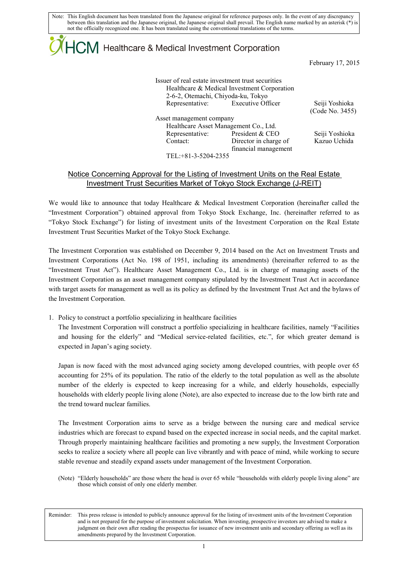Note: This English document has been translated from the Japanese original for reference purposes only. In the event of any discrepancy between this translation and the Japanese original, the Japanese original shall prevail. The English name marked by an asterisk (\*) is not the officially recognized one. It has been translated using the conventional translations of the terms.

## $\mathsf{ICM}\xspace$  Healthcare & Medical Investment Corporation

February 17, 2015

| 2-6-2, Otemachi, Chiyoda-ku, Tokyo | Issuer of real estate investment trust securities<br>Healthcare & Medical Investment Corporation |                 |
|------------------------------------|--------------------------------------------------------------------------------------------------|-----------------|
|                                    | Representative: Executive Officer                                                                | Seiji Yoshioka  |
|                                    |                                                                                                  | (Code No. 3455) |
| Asset management company           |                                                                                                  |                 |
|                                    | Healthcare Asset Management Co., Ltd.                                                            |                 |
| Representative:                    | President & CEO                                                                                  | Seiji Yoshioka  |
| Contact:                           | Director in charge of<br>financial management                                                    | Kazuo Uchida    |
| TEL: +81-3-5204-2355               |                                                                                                  |                 |

## Notice Concerning Approval for the Listing of Investment Units on the Real Estate Investment Trust Securities Market of Tokyo Stock Exchange (J-REIT)

We would like to announce that today Healthcare & Medical Investment Corporation (hereinafter called the "Investment Corporation") obtained approval from Tokyo Stock Exchange, Inc. (hereinafter referred to as "Tokyo Stock Exchange") for listing of investment units of the Investment Corporation on the Real Estate Investment Trust Securities Market of the Tokyo Stock Exchange.

The Investment Corporation was established on December 9, 2014 based on the Act on Investment Trusts and Investment Corporations (Act No. 198 of 1951, including its amendments) (hereinafter referred to as the "Investment Trust Act"). Healthcare Asset Management Co., Ltd. is in charge of managing assets of the Investment Corporation as an asset management company stipulated by the Investment Trust Act in accordance with target assets for management as well as its policy as defined by the Investment Trust Act and the bylaws of the Investment Corporation.

1. Policy to construct a portfolio specializing in healthcare facilities

The Investment Corporation will construct a portfolio specializing in healthcare facilities, namely "Facilities and housing for the elderly" and "Medical service-related facilities, etc.", for which greater demand is expected in Japan's aging society.

Japan is now faced with the most advanced aging society among developed countries, with people over 65 accounting for 25% of its population. The ratio of the elderly to the total population as well as the absolute number of the elderly is expected to keep increasing for a while, and elderly households, especially households with elderly people living alone (Note), are also expected to increase due to the low birth rate and the trend toward nuclear families.

The Investment Corporation aims to serve as a bridge between the nursing care and medical service industries which are forecast to expand based on the expected increase in social needs, and the capital market. Through properly maintaining healthcare facilities and promoting a new supply, the Investment Corporation seeks to realize a society where all people can live vibrantly and with peace of mind, while working to secure stable revenue and steadily expand assets under management of the Investment Corporation.

(Note) "Elderly households" are those where the head is over 65 while "households with elderly people living alone" are those which consist of only one elderly member.

Reminder: This press release is intended to publicly announce approval for the listing of investment units of the Investment Corporation and is not prepared for the purpose of investment solicitation. When investing, prospective investors are advised to make a judgment on their own after reading the prospectus for issuance of new investment units and secondary offering as well as its amendments prepared by the Investment Corporation.